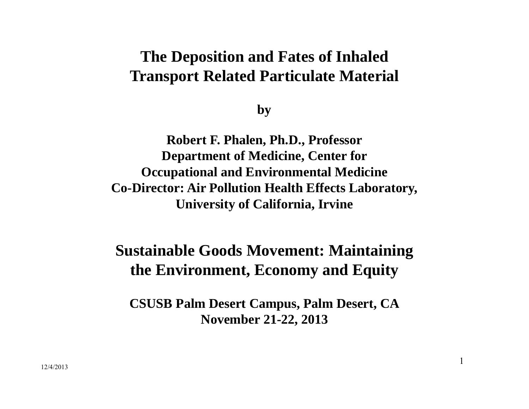#### **The Deposition and Fates of Inhaled Transport Related Particulate Material**

**by**

**Robert F. Phalen, Ph.D., Professor Department of Medicine, Center for Occupational and Environmental Medicine Co-Director: Air Pollution Health Effects Laboratory, University of California, Irvine**

### **Sustainable Goods Movement: Maintaining the Environment, Economy and Equity**

**CSUSB Palm Desert Campus, Palm Desert, CA November 21-22, 2013**

1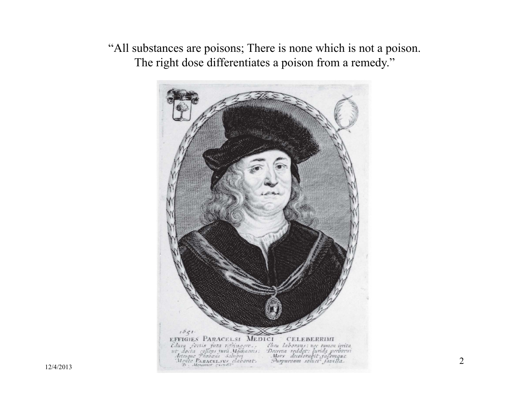"All substances are poisons; There is none which is not a poison. The right dose differentiates a poison from a remedy."

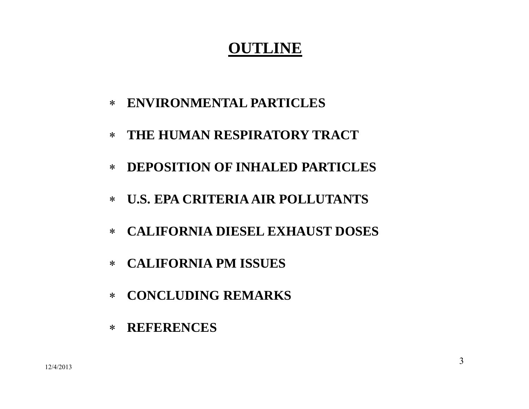### **OUTLINE**

- **ENVIRONMENTAL PARTICLES**
- $\ast$ **THE HUMAN RESPIRATORY TRACT**
- $\ast$ **DEPOSITION OF INHALED PARTICLES**
- **U.S. EPA CRITERIA AIR POLLUTANTS**
- $\ast$ **CALIFORNIA DIESEL EXHAUST DOSES**
- $\ast$ **CALIFORNIA PM ISSUES**
- ∗ **CONCLUDING REMARKS**
- ∗ **REFERENCES**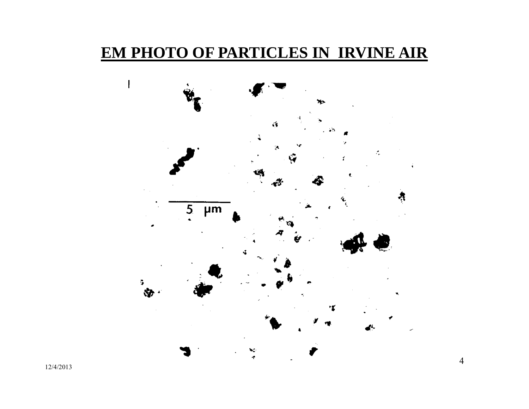#### **EM PHOTO OF PARTICLES IN IRVINE AIR**



4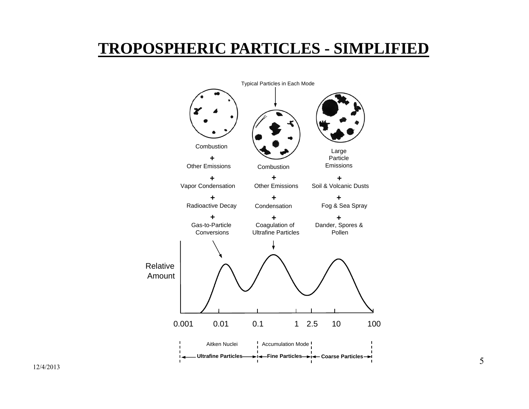### **TROPOSPHERIC PARTICLES - SIMPLIFIED**

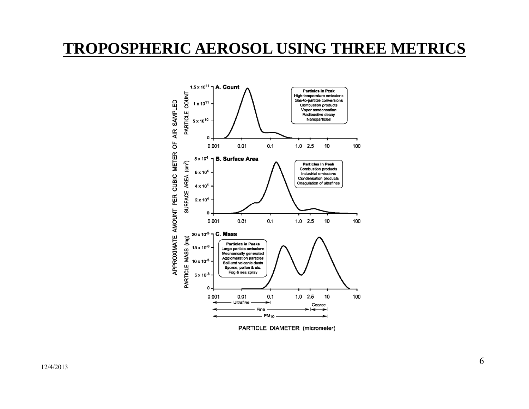#### **TROPOSPHERIC AEROSOL USING THREE METRICS**



PARTICLE DIAMETER (micrometer)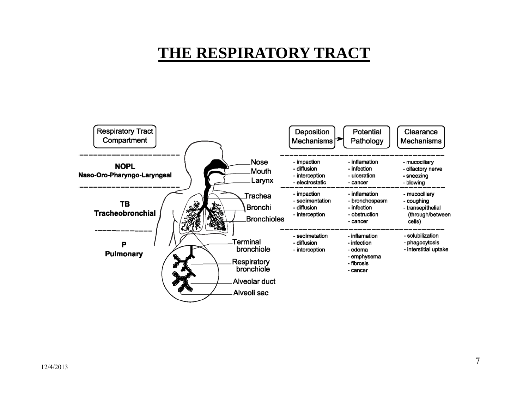### **THE RESPIRATORY TRACT**

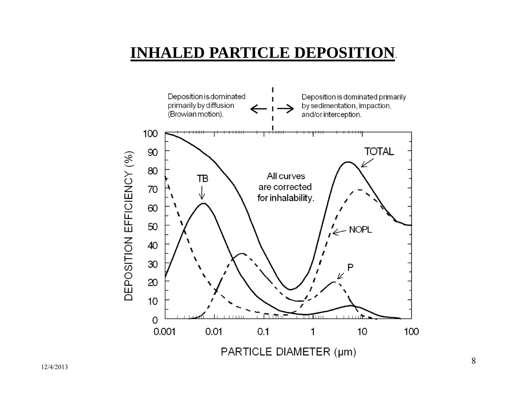### **INHALED PARTICLE DEPOSITION**.

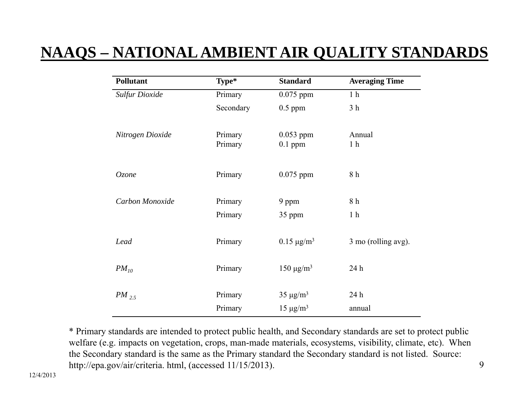## **NAAQS – NATIONAL AMBIENT AIR QUALITY STANDARDS**

| <b>Pollutant</b>      | Type*              | <b>Standard</b>             | <b>Averaging Time</b>    |
|-----------------------|--------------------|-----------------------------|--------------------------|
| <b>Sulfur Dioxide</b> | Primary            | $0.075$ ppm                 | 1 <sub>h</sub>           |
|                       | Secondary          | $0.5$ ppm                   | 3 <sub>h</sub>           |
| Nitrogen Dioxide      | Primary<br>Primary | $0.053$ ppm<br>$0.1$ ppm    | Annual<br>1 <sub>h</sub> |
| Ozone                 | Primary            | $0.075$ ppm                 | 8 h                      |
| Carbon Monoxide       | Primary            | 9 ppm                       | 8 h                      |
|                       | Primary            | 35 ppm                      | 1 <sub>h</sub>           |
| Lead                  | Primary            | $0.15 \,\mathrm{\mu g/m^3}$ | 3 mo (rolling avg).      |
| $PM_{10}$             | Primary            | $150 \mu g/m^3$             | 24 h                     |
| $PM_{2.5}$            | Primary            | $35 \mu g/m^3$              | 24 h                     |
|                       | Primary            | $15 \mu g/m^3$              | annual                   |

\* Primary standards are intended to protect public health, and Secondary standards are set to protect public welfare (e.g. impacts on vegetation, crops, man-made materials, ecosystems, visibility, climate, etc). When the Secondary standard is the same as the Primary standard the Secondary standard is not listed. Source: http://epa.gov/air/criteria. html, (accessed 11/15/2013).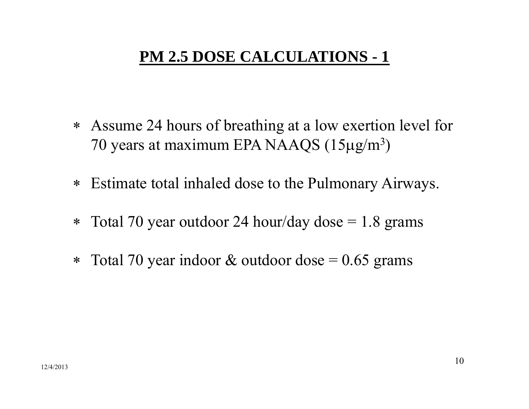### **PM 2.5 DOSE CALCULATIONS - 1**

- Assume 24 hours of breathing at a low exertion level for 70 years at maximum EPA NAAQS  $(15 \mu g/m^3)$ )
- $\ast$ Estimate total inhaled dose to the Pulmonary Airways.
- $\ast$ Total 70 year outdoor 24 hour/day dose  $= 1.8$  grams
- ∗ Total 70 year indoor  $&$  outdoor dose = 0.65 grams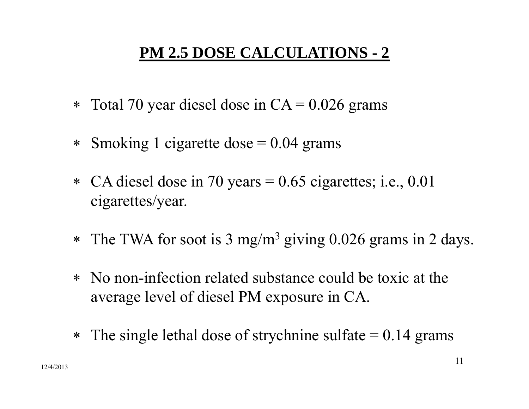## **PM 2.5 DOSE CALCULATIONS - 2**

- ∗ Total 70 year diesel dose in  $CA = 0.026$  grams
- ∗ Smoking 1 cigarette dose  $= 0.04$  grams
- CA diesel dose in 70 years = 0.65 cigarettes; i.e., 0.01 cigarettes/year.
- ∗ The TWA for soot is 3 mg/m 3 giving 0.026 grams in 2 days.
- ∗ No non-infection related substance could be toxic at the average level of diesel PM exposure in CA.
- ∗ The single lethal dose of strychnine sulfate  $= 0.14$  grams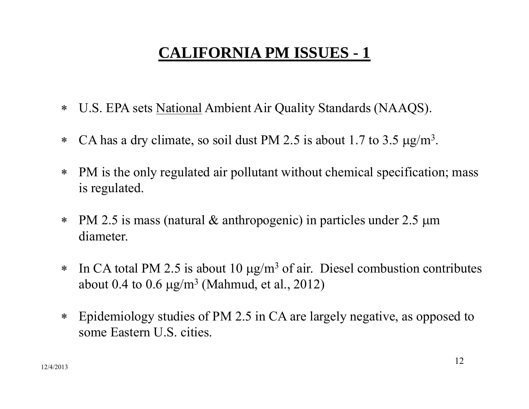# **CALIFORNIA PM ISSUES - 1**

- ∗ U.S. EPA sets National Ambient Air Quality Standards (NAAQS).
- $\ast$ • CA has a dry climate, so soil dust PM 2.5 is about 1.7 to 3.5  $\mu$ g/m<sup>3</sup>.
- $\ast$  PM is the only regulated air pollutant without chemical specification; mass is regulated.
- $\ast$  PM 2.5 is mass (natural & anthropogenic) in particles under 2.5 <sup>m</sup> diameter.
- ∗  $\ast$  In CA total PM 2.5 is about 10  $\mu$ g/m<sup>3</sup> of air. Diesel combustion contributes about  $0.4$  to  $0.6~\mu{\rm g}/{\rm m}^3$  (Mahmud, et al., 2012)
- $\ast$  Epidemiology studies of PM 2.5 in CA are largely negative, as opposed to some Eastern U.S. cities.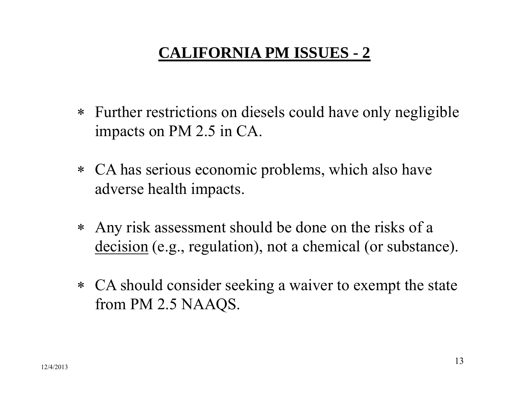# **CALIFORNIA PM ISSUES - 2**

- Further restrictions on diesels could have only negligible impacts on PM 2.5 in CA.
- CA has serious economic problems, which also have adverse health impacts.
- Any risk assessment should be done on the risks of a decision (e.g., regulation), not a chemical (or substance).
- CA should consider seeking a waiver to exempt the state from PM 2.5 NAAQS.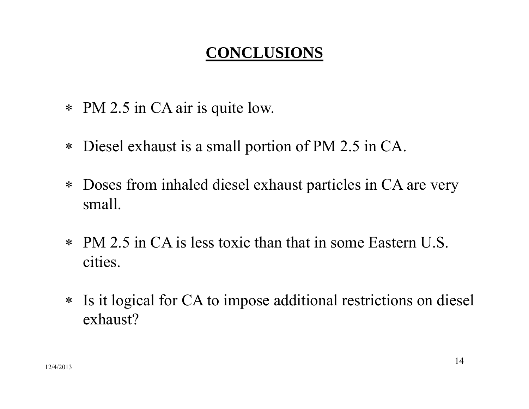## **CONCLUSIONS**

- PM 2.5 in CA air is quite low.
- Diesel exhaust is a small portion of PM 2.5 in CA.
- Doses from inhaled diesel exhaust particles in CA are very small.
- PM 2.5 in CA is less toxic than that in some Eastern U.S. cities.
- Is it logical for CA to impose additional restrictions on diesel exhaust?